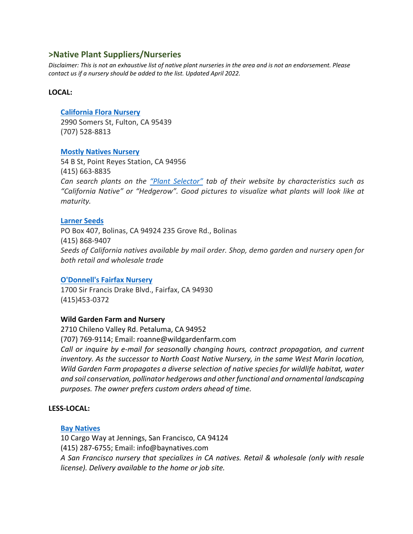# **>Native Plant Suppliers/Nurseries**

*Disclaimer: This is not an exhaustive list of native plant nurseries in the area and is not an endorsement. Please contact us if a nursery should be added to the list. Updated April 2022.*

### **LOCAL:**

### **[California Flora Nursery](https://www.calfloranursery.com/)**

2990 Somers St, Fulton, CA 95439 (707) 528-8813

## **[Mostly Natives Nursery](https://www.mostlynatives.com/)**

54 B St, Point Reyes Station, CA 94956 (415) 663-8835 *Can search plants on the ["Plant Selector"](https://www.mostlynatives.com/search-results?tid_5%5B%5D=32&tid_5%5B%5D=38&genus=All&species=All&common_name=All&cultivar_name=All) tab of their website by characteristics such as "California Native" or "Hedgerow". Good pictures to visualize what plants will look like at maturity.*

### **[Larner Seeds](https://www.larnerseeds.com/)**

PO Box 407, Bolinas, CA 94924 235 Grove Rd., Bolinas (415) 868-9407 *Seeds of California natives available by mail order. Shop, demo garden and nursery open for both retail and wholesale trade*

### **[O'Donnell's Fairfax Nursery](http://www.odonnellsnursery.com/ODonnells_Fairfax_Nursery/Welcome.html)**

1700 Sir Francis Drake Blvd., Fairfax, CA 94930 (415)453-0372

## **Wild Garden Farm and Nursery**

2710 Chileno Valley Rd. Petaluma, CA 94952 (707) 769-9114; Email: roanne@wildgardenfarm.com *Call or inquire by e-mail for seasonally changing hours, contract propagation, and current inventory. As the successor to North Coast Native Nursery, in the same West Marin location, Wild Garden Farm propagates a diverse selection of native species for wildlife habitat, water and soil conservation, pollinator hedgerows and other functional and ornamental landscaping purposes. The owner prefers custom orders ahead of time.*

### **LESS-LOCAL:**

### **[Bay Natives](http://www.baynatives.com/)**

10 Cargo Way at Jennings, San Francisco, CA 94124 (415) 287-6755; Email: info@baynatives.com *A San Francisco nursery that specializes in CA natives. Retail & wholesale (only with resale license). Delivery available to the home or job site.*